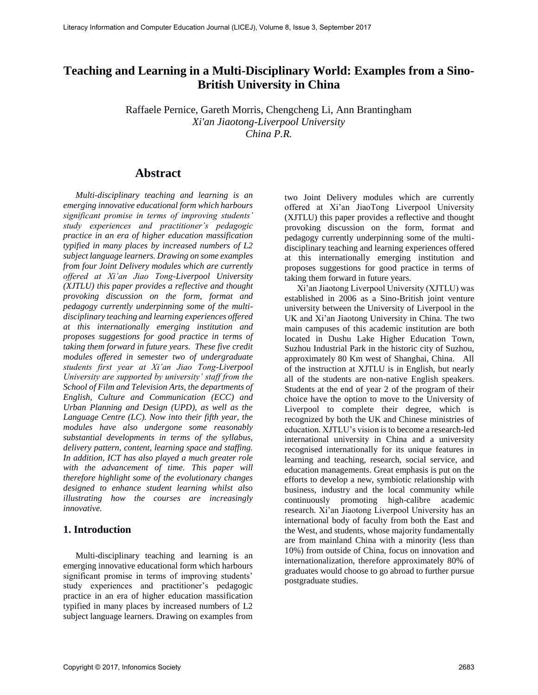# **Teaching and Learning in a Multi-Disciplinary World: Examples from a Sino-British University in China**

Raffaele Pernice, Gareth Morris, Chengcheng Li, Ann Brantingham *Xi'an Jiaotong-Liverpool University China P.R.*

## **Abstract**

*Multi-disciplinary teaching and learning is an emerging innovative educational form which harbours significant promise in terms of improving students' study experiences and practitioner's pedagogic practice in an era of higher education massification typified in many places by increased numbers of L2 subject language learners. Drawing on some examples from four Joint Delivery modules which are currently offered at Xi'an Jiao Tong-Liverpool University (XJTLU) this paper provides a reflective and thought provoking discussion on the form, format and pedagogy currently underpinning some of the multidisciplinary teaching and learning experiences offered at this internationally emerging institution and proposes suggestions for good practice in terms of taking them forward in future years. These five credit modules offered in semester two of undergraduate students first year at Xi'an Jiao Tong-Liverpool University are supported by university' staff from the School of Film and Television Arts, the departments of English, Culture and Communication (ECC) and Urban Planning and Design (UPD), as well as the Language Centre (LC). Now into their fifth year, the modules have also undergone some reasonably substantial developments in terms of the syllabus, delivery pattern, content, learning space and staffing. In addition, ICT has also played a much greater role with the advancement of time. This paper will therefore highlight some of the evolutionary changes designed to enhance student learning whilst also illustrating how the courses are increasingly innovative.*

#### **1. Introduction**

Multi-disciplinary teaching and learning is an emerging innovative educational form which harbours significant promise in terms of improving students' study experiences and practitioner's pedagogic practice in an era of higher education massification typified in many places by increased numbers of L2 subject language learners. Drawing on examples from

two Joint Delivery modules which are currently offered at Xi'an JiaoTong Liverpool University (XJTLU) this paper provides a reflective and thought provoking discussion on the form, format and pedagogy currently underpinning some of the multidisciplinary teaching and learning experiences offered at this internationally emerging institution and proposes suggestions for good practice in terms of taking them forward in future years.

Xi'an Jiaotong Liverpool University (XJTLU) was established in 2006 as a Sino-British joint venture university between the University of Liverpool in the UK and Xi'an Jiaotong University in China. The two main campuses of this academic institution are both located in Dushu Lake Higher Education Town, Suzhou Industrial Park in the historic city of Suzhou, approximately 80 Km west of Shanghai, China. All of the instruction at XJTLU is in English, but nearly all of the students are non-native English speakers. Students at the end of year 2 of the program of their choice have the option to move to the University of Liverpool to complete their degree, which is recognized by both the UK and Chinese ministries of education. XJTLU's vision is to become a research-led international university in China and a university recognised internationally for its unique features in learning and teaching, research, social service, and education managements. Great emphasis is put on the efforts to develop a new, symbiotic relationship with business, industry and the local community while continuously promoting high-calibre academic research. Xi'an Jiaotong Liverpool University has an international body of faculty from both the East and the West, and students, whose majority fundamentally are from mainland China with a minority (less than 10%) from outside of China, focus on innovation and internationalization, therefore approximately 80% of graduates would choose to go abroad to further pursue postgraduate studies.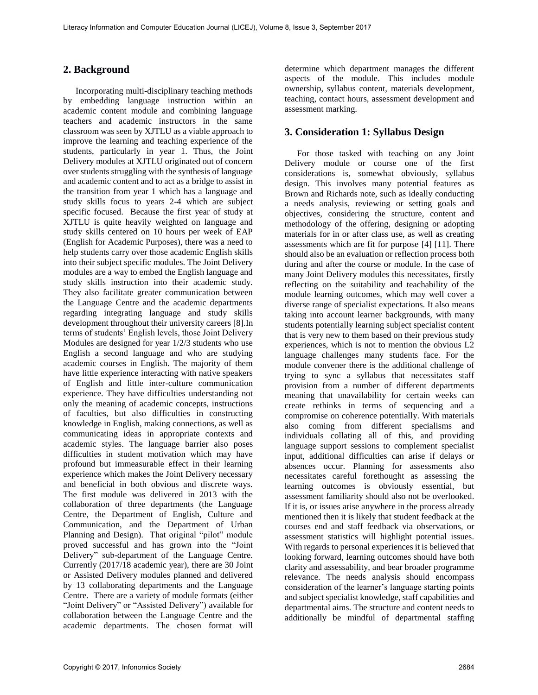#### **2. Background**

Incorporating multi-disciplinary teaching methods by embedding language instruction within an academic content module and combining language teachers and academic instructors in the same classroom was seen by XJTLU as a viable approach to improve the learning and teaching experience of the students, particularly in year 1. Thus, the Joint Delivery modules at XJTLU originated out of concern over students struggling with the synthesis of language and academic content and to act as a bridge to assist in the transition from year 1 which has a language and study skills focus to years 2-4 which are subject specific focused. Because the first year of study at XJTLU is quite heavily weighted on language and study skills centered on 10 hours per week of EAP (English for Academic Purposes), there was a need to help students carry over those academic English skills into their subject specific modules. The Joint Delivery modules are a way to embed the English language and study skills instruction into their academic study. They also facilitate greater communication between the Language Centre and the academic departments regarding integrating language and study skills development throughout their university careers [8].In terms of students' English levels, those Joint Delivery Modules are designed for year 1/2/3 students who use English a second language and who are studying academic courses in English. The majority of them have little experience interacting with native speakers of English and little inter-culture communication experience. They have difficulties understanding not only the meaning of academic concepts, instructions of faculties, but also difficulties in constructing knowledge in English, making connections, as well as communicating ideas in appropriate contexts and academic styles. The language barrier also poses difficulties in student motivation which may have profound but immeasurable effect in their learning experience which makes the Joint Delivery necessary and beneficial in both obvious and discrete ways. The first module was delivered in 2013 with the collaboration of three departments (the Language Centre, the Department of English, Culture and Communication, and the Department of Urban Planning and Design). That original "pilot" module proved successful and has grown into the "Joint Delivery" sub-department of the Language Centre. Currently (2017/18 academic year), there are 30 Joint or Assisted Delivery modules planned and delivered by 13 collaborating departments and the Language Centre. There are a variety of module formats (either "Joint Delivery" or "Assisted Delivery") available for collaboration between the Language Centre and the academic departments. The chosen format will

determine which department manages the different aspects of the module. This includes module ownership, syllabus content, materials development, teaching, contact hours, assessment development and assessment marking.

#### **3. Consideration 1: Syllabus Design**

For those tasked with teaching on any Joint Delivery module or course one of the first considerations is, somewhat obviously, syllabus design. This involves many potential features as Brown and Richards note, such as ideally conducting a needs analysis, reviewing or setting goals and objectives, considering the structure, content and methodology of the offering, designing or adopting materials for in or after class use, as well as creating assessments which are fit for purpose [4] [11]. There should also be an evaluation or reflection process both during and after the course or module. In the case of many Joint Delivery modules this necessitates, firstly reflecting on the suitability and teachability of the module learning outcomes, which may well cover a diverse range of specialist expectations. It also means taking into account learner backgrounds, with many students potentially learning subject specialist content that is very new to them based on their previous study experiences, which is not to mention the obvious L2 language challenges many students face. For the module convener there is the additional challenge of trying to sync a syllabus that necessitates staff provision from a number of different departments meaning that unavailability for certain weeks can create rethinks in terms of sequencing and a compromise on coherence potentially. With materials also coming from different specialisms and individuals collating all of this, and providing language support sessions to complement specialist input, additional difficulties can arise if delays or absences occur. Planning for assessments also necessitates careful forethought as assessing the learning outcomes is obviously essential, but assessment familiarity should also not be overlooked. If it is, or issues arise anywhere in the process already mentioned then it is likely that student feedback at the courses end and staff feedback via observations, or assessment statistics will highlight potential issues. With regards to personal experiences it is believed that looking forward, learning outcomes should have both clarity and assessability, and bear broader programme relevance. The needs analysis should encompass consideration of the learner's language starting points and subject specialist knowledge, staff capabilities and departmental aims. The structure and content needs to additionally be mindful of departmental staffing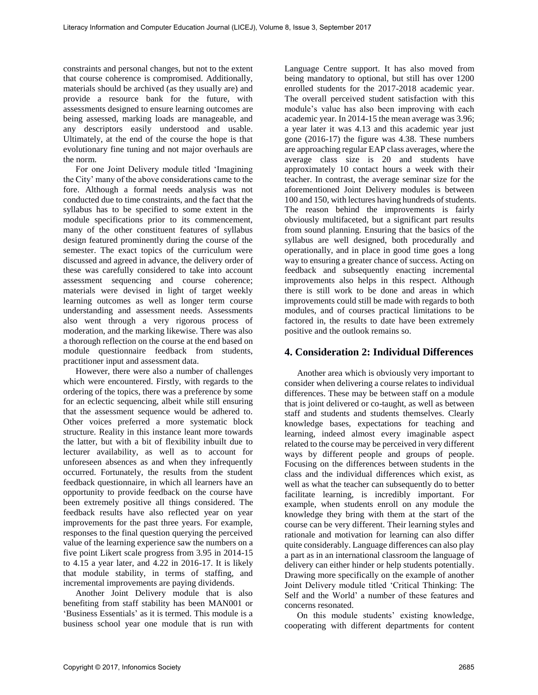constraints and personal changes, but not to the extent that course coherence is compromised. Additionally, materials should be archived (as they usually are) and provide a resource bank for the future, with assessments designed to ensure learning outcomes are being assessed, marking loads are manageable, and any descriptors easily understood and usable. Ultimately, at the end of the course the hope is that evolutionary fine tuning and not major overhauls are the norm.

For one Joint Delivery module titled 'Imagining the City' many of the above considerations came to the fore. Although a formal needs analysis was not conducted due to time constraints, and the fact that the syllabus has to be specified to some extent in the module specifications prior to its commencement, many of the other constituent features of syllabus design featured prominently during the course of the semester. The exact topics of the curriculum were discussed and agreed in advance, the delivery order of these was carefully considered to take into account assessment sequencing and course coherence; materials were devised in light of target weekly learning outcomes as well as longer term course understanding and assessment needs. Assessments also went through a very rigorous process of moderation, and the marking likewise. There was also a thorough reflection on the course at the end based on module questionnaire feedback from students, practitioner input and assessment data.

However, there were also a number of challenges which were encountered. Firstly, with regards to the ordering of the topics, there was a preference by some for an eclectic sequencing, albeit while still ensuring that the assessment sequence would be adhered to. Other voices preferred a more systematic block structure. Reality in this instance leant more towards the latter, but with a bit of flexibility inbuilt due to lecturer availability, as well as to account for unforeseen absences as and when they infrequently occurred. Fortunately, the results from the student feedback questionnaire, in which all learners have an opportunity to provide feedback on the course have been extremely positive all things considered. The feedback results have also reflected year on year improvements for the past three years. For example, responses to the final question querying the perceived value of the learning experience saw the numbers on a five point Likert scale progress from 3.95 in 2014-15 to 4.15 a year later, and 4.22 in 2016-17. It is likely that module stability, in terms of staffing, and incremental improvements are paying dividends.

Another Joint Delivery module that is also benefiting from staff stability has been MAN001 or 'Business Essentials' as it is termed. This module is a business school year one module that is run with Language Centre support. It has also moved from being mandatory to optional, but still has over 1200 enrolled students for the 2017-2018 academic year. The overall perceived student satisfaction with this module's value has also been improving with each academic year. In 2014-15 the mean average was 3.96; a year later it was 4.13 and this academic year just gone (2016-17) the figure was 4.38. These numbers are approaching regular EAP class averages, where the average class size is 20 and students have approximately 10 contact hours a week with their teacher. In contrast, the average seminar size for the aforementioned Joint Delivery modules is between 100 and 150, with lectures having hundreds of students. The reason behind the improvements is fairly obviously multifaceted, but a significant part results from sound planning. Ensuring that the basics of the syllabus are well designed, both procedurally and operationally, and in place in good time goes a long way to ensuring a greater chance of success. Acting on feedback and subsequently enacting incremental improvements also helps in this respect. Although there is still work to be done and areas in which improvements could still be made with regards to both modules, and of courses practical limitations to be factored in, the results to date have been extremely positive and the outlook remains so.

#### **4. Consideration 2: Individual Differences**

Another area which is obviously very important to consider when delivering a course relates to individual differences. These may be between staff on a module that is joint delivered or co-taught, as well as between staff and students and students themselves. Clearly knowledge bases, expectations for teaching and learning, indeed almost every imaginable aspect related to the course may be perceived in very different ways by different people and groups of people. Focusing on the differences between students in the class and the individual differences which exist, as well as what the teacher can subsequently do to better facilitate learning, is incredibly important. For example, when students enroll on any module the knowledge they bring with them at the start of the course can be very different. Their learning styles and rationale and motivation for learning can also differ quite considerably. Language differences can also play a part as in an international classroom the language of delivery can either hinder or help students potentially. Drawing more specifically on the example of another Joint Delivery module titled 'Critical Thinking: The Self and the World' a number of these features and concerns resonated.

On this module students' existing knowledge, cooperating with different departments for content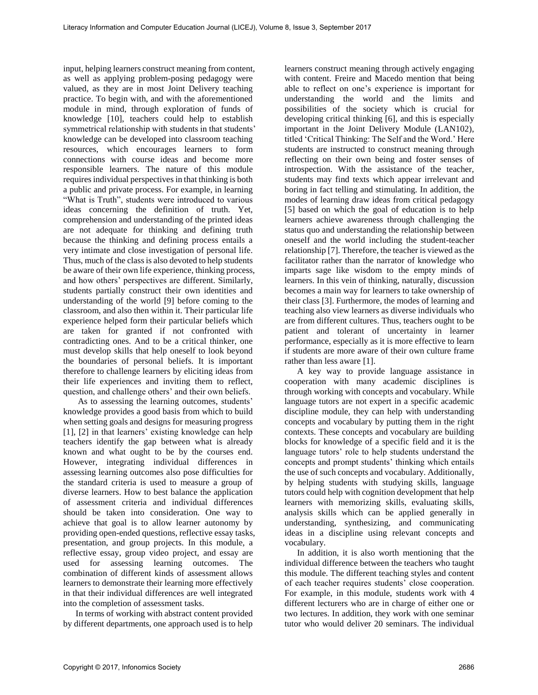input, helping learners construct meaning from content, as well as applying problem-posing pedagogy were valued, as they are in most Joint Delivery teaching practice. To begin with, and with the aforementioned module in mind, through exploration of funds of knowledge [10], teachers could help to establish symmetrical relationship with students in that students' knowledge can be developed into classroom teaching resources, which encourages learners to form connections with course ideas and become more responsible learners. The nature of this module requires individual perspectives in that thinking is both a public and private process. For example, in learning "What is Truth", students were introduced to various ideas concerning the definition of truth. Yet, comprehension and understanding of the printed ideas are not adequate for thinking and defining truth because the thinking and defining process entails a very intimate and close investigation of personal life. Thus, much of the class is also devoted to help students be aware of their own life experience, thinking process, and how others' perspectives are different. Similarly, students partially construct their own identities and understanding of the world [9] before coming to the classroom, and also then within it. Their particular life experience helped form their particular beliefs which are taken for granted if not confronted with contradicting ones. And to be a critical thinker, one must develop skills that help oneself to look beyond the boundaries of personal beliefs. It is important therefore to challenge learners by eliciting ideas from their life experiences and inviting them to reflect, question, and challenge others' and their own beliefs.

As to assessing the learning outcomes, students' knowledge provides a good basis from which to build when setting goals and designs for measuring progress [1], [2] in that learners' existing knowledge can help teachers identify the gap between what is already known and what ought to be by the courses end. However, integrating individual differences in assessing learning outcomes also pose difficulties for the standard criteria is used to measure a group of diverse learners. How to best balance the application of assessment criteria and individual differences should be taken into consideration. One way to achieve that goal is to allow learner autonomy by providing open-ended questions, reflective essay tasks, presentation, and group projects. In this module, a reflective essay, group video project, and essay are used for assessing learning outcomes. The combination of different kinds of assessment allows learners to demonstrate their learning more effectively in that their individual differences are well integrated into the completion of assessment tasks.

In terms of working with abstract content provided by different departments, one approach used is to help learners construct meaning through actively engaging with content. Freire and Macedo mention that being able to reflect on one's experience is important for understanding the world and the limits and possibilities of the society which is crucial for developing critical thinking [6], and this is especially important in the Joint Delivery Module (LAN102), titled 'Critical Thinking: The Self and the Word.' Here students are instructed to construct meaning through reflecting on their own being and foster senses of introspection. With the assistance of the teacher, students may find texts which appear irrelevant and boring in fact telling and stimulating. In addition, the modes of learning draw ideas from critical pedagogy [5] based on which the goal of education is to help learners achieve awareness through challenging the status quo and understanding the relationship between oneself and the world including the student-teacher relationship [7]. Therefore, the teacher is viewed as the facilitator rather than the narrator of knowledge who imparts sage like wisdom to the empty minds of learners. In this vein of thinking, naturally, discussion becomes a main way for learners to take ownership of their class [3]. Furthermore, the modes of learning and teaching also view learners as diverse individuals who are from different cultures. Thus, teachers ought to be patient and tolerant of uncertainty in learner performance, especially as it is more effective to learn if students are more aware of their own culture frame rather than less aware [1].

A key way to provide language assistance in cooperation with many academic disciplines is through working with concepts and vocabulary. While language tutors are not expert in a specific academic discipline module, they can help with understanding concepts and vocabulary by putting them in the right contexts. These concepts and vocabulary are building blocks for knowledge of a specific field and it is the language tutors' role to help students understand the concepts and prompt students' thinking which entails the use of such concepts and vocabulary. Additionally, by helping students with studying skills, language tutors could help with cognition development that help learners with memorizing skills, evaluating skills, analysis skills which can be applied generally in understanding, synthesizing, and communicating ideas in a discipline using relevant concepts and vocabulary.

In addition, it is also worth mentioning that the individual difference between the teachers who taught this module. The different teaching styles and content of each teacher requires students' close cooperation. For example, in this module, students work with 4 different lecturers who are in charge of either one or two lectures. In addition, they work with one seminar tutor who would deliver 20 seminars. The individual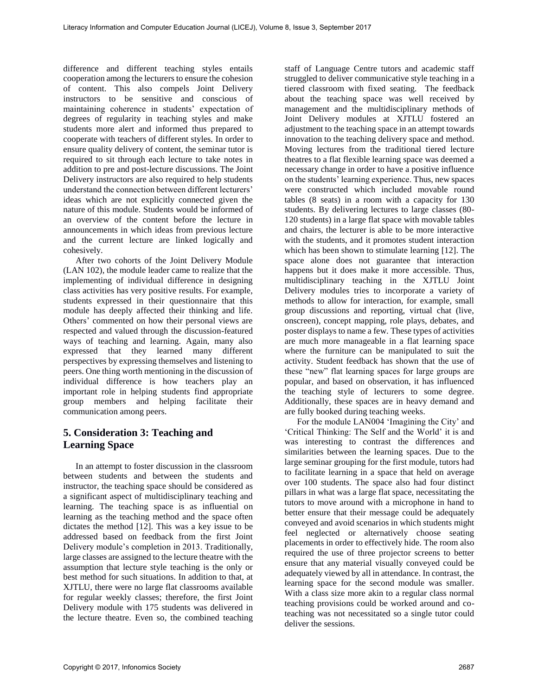difference and different teaching styles entails cooperation among the lecturers to ensure the cohesion of content. This also compels Joint Delivery instructors to be sensitive and conscious of maintaining coherence in students' expectation of degrees of regularity in teaching styles and make students more alert and informed thus prepared to cooperate with teachers of different styles. In order to ensure quality delivery of content, the seminar tutor is required to sit through each lecture to take notes in addition to pre and post-lecture discussions. The Joint Delivery instructors are also required to help students understand the connection between different lecturers' ideas which are not explicitly connected given the nature of this module. Students would be informed of an overview of the content before the lecture in announcements in which ideas from previous lecture and the current lecture are linked logically and cohesively.

After two cohorts of the Joint Delivery Module (LAN 102), the module leader came to realize that the implementing of individual difference in designing class activities has very positive results. For example, students expressed in their questionnaire that this module has deeply affected their thinking and life. Others' commented on how their personal views are respected and valued through the discussion-featured ways of teaching and learning. Again, many also expressed that they learned many different perspectives by expressing themselves and listening to peers. One thing worth mentioning in the discussion of individual difference is how teachers play an important role in helping students find appropriate group members and helping facilitate their communication among peers.

# **5. Consideration 3: Teaching and Learning Space**

In an attempt to foster discussion in the classroom between students and between the students and instructor, the teaching space should be considered as a significant aspect of multidisciplinary teaching and learning. The teaching space is as influential on learning as the teaching method and the space often dictates the method [12]. This was a key issue to be addressed based on feedback from the first Joint Delivery module's completion in 2013. Traditionally, large classes are assigned to the lecture theatre with the assumption that lecture style teaching is the only or best method for such situations. In addition to that, at XJTLU, there were no large flat classrooms available for regular weekly classes; therefore, the first Joint Delivery module with 175 students was delivered in the lecture theatre. Even so, the combined teaching

staff of Language Centre tutors and academic staff struggled to deliver communicative style teaching in a tiered classroom with fixed seating. The feedback about the teaching space was well received by management and the multidisciplinary methods of Joint Delivery modules at XJTLU fostered an adjustment to the teaching space in an attempt towards innovation to the teaching delivery space and method. Moving lectures from the traditional tiered lecture theatres to a flat flexible learning space was deemed a necessary change in order to have a positive influence on the students' learning experience. Thus, new spaces were constructed which included movable round tables (8 seats) in a room with a capacity for 130 students. By delivering lectures to large classes (80- 120 students) in a large flat space with movable tables and chairs, the lecturer is able to be more interactive with the students, and it promotes student interaction which has been shown to stimulate learning [12]. The space alone does not guarantee that interaction happens but it does make it more accessible. Thus, multidisciplinary teaching in the XJTLU Joint Delivery modules tries to incorporate a variety of methods to allow for interaction, for example, small group discussions and reporting, virtual chat (live, onscreen), concept mapping, role plays, debates, and poster displays to name a few. These types of activities are much more manageable in a flat learning space where the furniture can be manipulated to suit the activity. Student feedback has shown that the use of these "new" flat learning spaces for large groups are popular, and based on observation, it has influenced the teaching style of lecturers to some degree. Additionally, these spaces are in heavy demand and are fully booked during teaching weeks.

For the module LAN004 'Imagining the City' and 'Critical Thinking: The Self and the World' it is and was interesting to contrast the differences and similarities between the learning spaces. Due to the large seminar grouping for the first module, tutors had to facilitate learning in a space that held on average over 100 students. The space also had four distinct pillars in what was a large flat space, necessitating the tutors to move around with a microphone in hand to better ensure that their message could be adequately conveyed and avoid scenarios in which students might feel neglected or alternatively choose seating placements in order to effectively hide. The room also required the use of three projector screens to better ensure that any material visually conveyed could be adequately viewed by all in attendance. In contrast, the learning space for the second module was smaller. With a class size more akin to a regular class normal teaching provisions could be worked around and coteaching was not necessitated so a single tutor could deliver the sessions.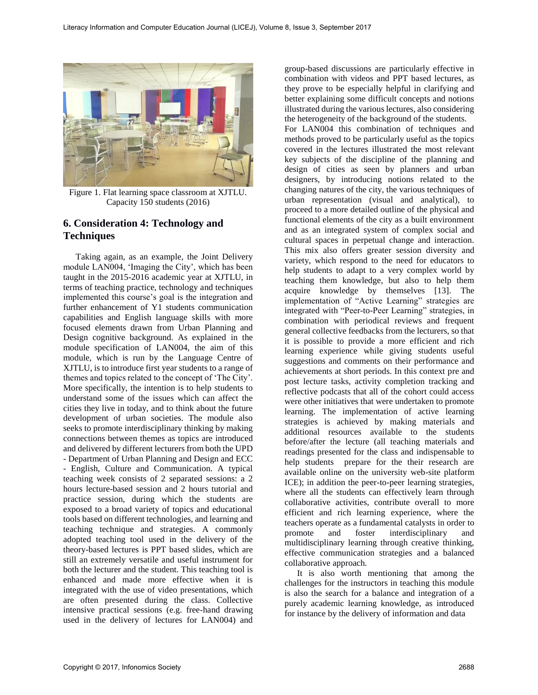

Figure 1. Flat learning space classroom at XJTLU. Capacity 150 students (2016)

#### **6. Consideration 4: Technology and Techniques**

Taking again, as an example, the Joint Delivery module LAN004, 'Imaging the City', which has been taught in the 2015-2016 academic year at XJTLU, in terms of teaching practice, technology and techniques implemented this course's goal is the integration and further enhancement of Y1 students communication capabilities and English language skills with more focused elements drawn from Urban Planning and Design cognitive background. As explained in the module specification of LAN004, the aim of this module, which is run by the Language Centre of XJTLU, is to introduce first year students to a range of themes and topics related to the concept of 'The City'. More specifically, the intention is to help students to understand some of the issues which can affect the cities they live in today, and to think about the future development of urban societies. The module also seeks to promote interdisciplinary thinking by making connections between themes as topics are introduced and delivered by different lecturers from both the UPD - Department of Urban Planning and Design and ECC - English, Culture and Communication. A typical teaching week consists of 2 separated sessions: a 2 hours lecture-based session and 2 hours tutorial and practice session, during which the students are exposed to a broad variety of topics and educational tools based on different technologies, and learning and teaching technique and strategies. A commonly adopted teaching tool used in the delivery of the theory-based lectures is PPT based slides, which are still an extremely versatile and useful instrument for both the lecturer and the student. This teaching tool is enhanced and made more effective when it is integrated with the use of video presentations, which are often presented during the class. Collective intensive practical sessions (e.g. free-hand drawing used in the delivery of lectures for LAN004) and

group-based discussions are particularly effective in combination with videos and PPT based lectures, as they prove to be especially helpful in clarifying and better explaining some difficult concepts and notions illustrated during the various lectures, also considering the heterogeneity of the background of the students. For LAN004 this combination of techniques and methods proved to be particularly useful as the topics covered in the lectures illustrated the most relevant key subjects of the discipline of the planning and

design of cities as seen by planners and urban designers, by introducing notions related to the changing natures of the city, the various techniques of urban representation (visual and analytical), to proceed to a more detailed outline of the physical and functional elements of the city as a built environment and as an integrated system of complex social and cultural spaces in perpetual change and interaction. This mix also offers greater session diversity and variety, which respond to the need for educators to help students to adapt to a very complex world by teaching them knowledge, but also to help them acquire knowledge by themselves [13]. The implementation of "Active Learning" strategies are integrated with "Peer-to-Peer Learning" strategies, in combination with periodical reviews and frequent general collective feedbacks from the lecturers, so that it is possible to provide a more efficient and rich learning experience while giving students useful suggestions and comments on their performance and achievements at short periods. In this context pre and post lecture tasks, activity completion tracking and reflective podcasts that all of the cohort could access were other initiatives that were undertaken to promote learning. The implementation of active learning strategies is achieved by making materials and additional resources available to the students before/after the lecture (all teaching materials and readings presented for the class and indispensable to help students prepare for the their research are available online on the university web-site platform ICE); in addition the peer-to-peer learning strategies, where all the students can effectively learn through collaborative activities, contribute overall to more efficient and rich learning experience, where the teachers operate as a fundamental catalysts in order to promote and foster interdisciplinary and multidisciplinary learning through creative thinking, effective communication strategies and a balanced collaborative approach.

It is also worth mentioning that among the challenges for the instructors in teaching this module is also the search for a balance and integration of a purely academic learning knowledge, as introduced for instance by the delivery of information and data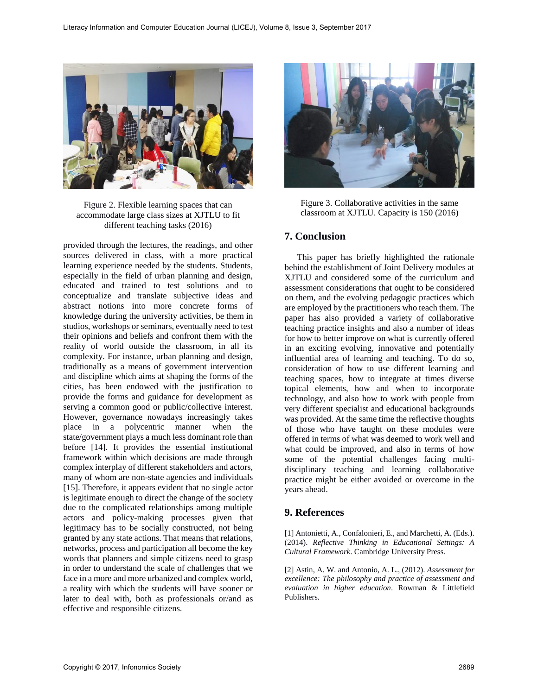

Figure 2. Flexible learning spaces that can accommodate large class sizes at XJTLU to fit different teaching tasks (2016)

provided through the lectures, the readings, and other sources delivered in class, with a more practical learning experience needed by the students. Students, especially in the field of urban planning and design, educated and trained to test solutions and to conceptualize and translate subjective ideas and abstract notions into more concrete forms of knowledge during the university activities, be them in studios, workshops or seminars, eventually need to test their opinions and beliefs and confront them with the reality of world outside the classroom, in all its complexity. For instance, urban planning and design, traditionally as a means of government intervention and discipline which aims at shaping the forms of the cities, has been endowed with the justification to provide the forms and guidance for development as serving a common good or public/collective interest. However, governance nowadays increasingly takes place in a polycentric manner when the state/government plays a much less dominant role than before [14]. It provides the essential institutional framework within which decisions are made through complex interplay of different stakeholders and actors, many of whom are non-state agencies and individuals [15]. Therefore, it appears evident that no single actor is legitimate enough to direct the change of the society due to the complicated relationships among multiple actors and policy-making processes given that legitimacy has to be socially constructed, not being granted by any state actions. That means that relations, networks, process and participation all become the key words that planners and simple citizens need to grasp in order to understand the scale of challenges that we face in a more and more urbanized and complex world, a reality with which the students will have sooner or later to deal with, both as professionals or/and as effective and responsible citizens.



Figure 3. Collaborative activities in the same classroom at XJTLU. Capacity is 150 (2016)

### **7. Conclusion**

This paper has briefly highlighted the rationale behind the establishment of Joint Delivery modules at XJTLU and considered some of the curriculum and assessment considerations that ought to be considered on them, and the evolving pedagogic practices which are employed by the practitioners who teach them. The paper has also provided a variety of collaborative teaching practice insights and also a number of ideas for how to better improve on what is currently offered in an exciting evolving, innovative and potentially influential area of learning and teaching. To do so, consideration of how to use different learning and teaching spaces, how to integrate at times diverse topical elements, how and when to incorporate technology, and also how to work with people from very different specialist and educational backgrounds was provided. At the same time the reflective thoughts of those who have taught on these modules were offered in terms of what was deemed to work well and what could be improved, and also in terms of how some of the potential challenges facing multidisciplinary teaching and learning collaborative practice might be either avoided or overcome in the years ahead.

#### **9. References**

[1] Antonietti, A., Confalonieri, E., and Marchetti, A. (Eds.). (2014). *Reflective Thinking in Educational Settings: A Cultural Framework*. Cambridge University Press.

[2] Astin, A. W. and Antonio, A. L., (2012). *Assessment for excellence: The philosophy and practice of assessment and evaluation in higher education*. Rowman & Littlefield Publishers.